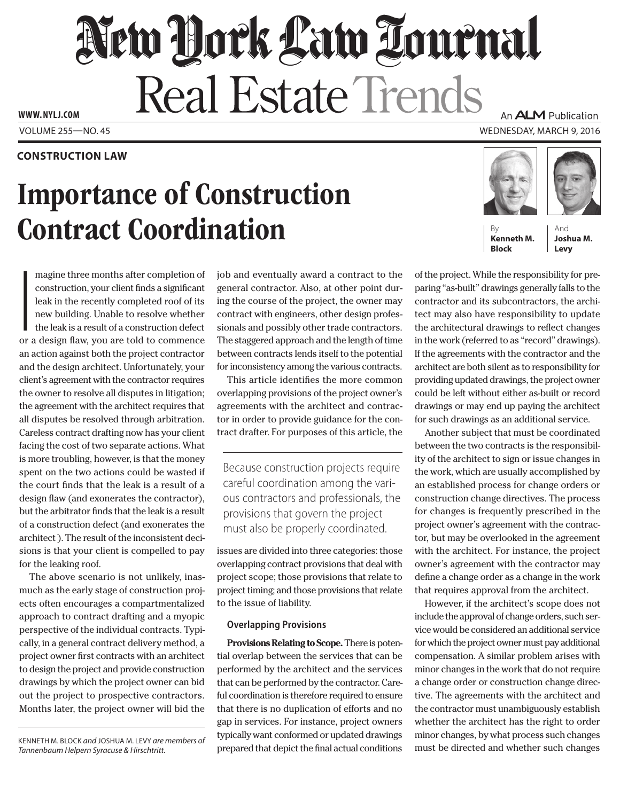# New Dock Law Tournal Real Estate Trends

**www. NYLJ.com**

### **CONSTRUCTION LAW**

## Importance of Construction **Contract Coordination**

An **ALM** Publication

Volume 255—NO. 45 Wednesday, March 9, 2016



**Kenneth M. Block**

And **Joshua M. Levy**

I<br>I<br>or magine three months after completion of construction, your client finds a significant leak in the recently completed roof of its new building. Unable to resolve whether the leak is a result of a construction defect or a design flaw, you are told to commence an action against both the project contractor and the design architect. Unfortunately, your client's agreement with the contractor requires the owner to resolve all disputes in litigation; the agreement with the architect requires that all disputes be resolved through arbitration. Careless contract drafting now has your client facing the cost of two separate actions. What is more troubling, however, is that the money spent on the two actions could be wasted if the court finds that the leak is a result of a design flaw (and exonerates the contractor), but the arbitrator finds that the leak is a result of a construction defect (and exonerates the architect ). The result of the inconsistent decisions is that your client is compelled to pay for the leaking roof.

The above scenario is not unlikely, inasmuch as the early stage of construction projects often encourages a compartmentalized approach to contract drafting and a myopic perspective of the individual contracts. Typically, in a general contract delivery method, a project owner first contracts with an architect to design the project and provide construction drawings by which the project owner can bid out the project to prospective contractors. Months later, the project owner will bid the job and eventually award a contract to the general contractor. Also, at other point during the course of the project, the owner may contract with engineers, other design professionals and possibly other trade contractors. The staggered approach and the length of time between contracts lends itself to the potential for inconsistency among the various contracts.

This article identifies the more common overlapping provisions of the project owner's agreements with the architect and contractor in order to provide guidance for the contract drafter. For purposes of this article, the

Because construction projects require careful coordination among the various contractors and professionals, the provisions that govern the project must also be properly coordinated.

issues are divided into three categories: those overlapping contract provisions that deal with project scope; those provisions that relate to project timing; and those provisions that relate to the issue of liability.

### **Overlapping Provisions**

**Provisions Relating to Scope.** There is potential overlap between the services that can be performed by the architect and the services that can be performed by the contractor. Careful coordination is therefore required to ensure that there is no duplication of efforts and no gap in services. For instance, project owners typically want conformed or updated drawings prepared that depict the final actual conditions

of the project. While the responsibility for preparing "as-built" drawings generally falls to the contractor and its subcontractors, the architect may also have responsibility to update the architectural drawings to reflect changes in the work (referred to as "record" drawings). If the agreements with the contractor and the architect are both silent as to responsibility for providing updated drawings, the project owner could be left without either as-built or record drawings or may end up paying the architect for such drawings as an additional service.

Another subject that must be coordinated between the two contracts is the responsibility of the architect to sign or issue changes in the work, which are usually accomplished by an established process for change orders or construction change directives. The process for changes is frequently prescribed in the project owner's agreement with the contractor, but may be overlooked in the agreement with the architect. For instance, the project owner's agreement with the contractor may define a change order as a change in the work that requires approval from the architect.

However, if the architect's scope does not include the approval of change orders, such service would be considered an additional service for which the project owner must pay additional compensation. A similar problem arises with minor changes in the work that do not require a change order or construction change directive. The agreements with the architect and the contractor must unambiguously establish whether the architect has the right to order minor changes, by what process such changes must be directed and whether such changes

Kenneth M. Block *and* Joshua M. Levy *are members of Tannenbaum Helpern Syracuse & Hirschtritt.*